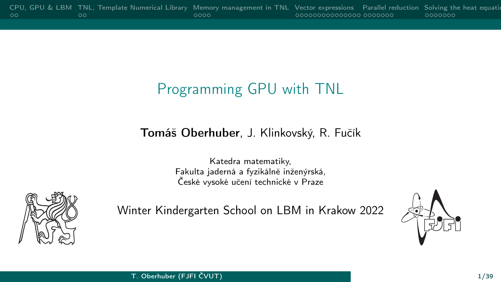# Programming GPU with TNL

#### Tomáš Oberhuber, J. Klinkovský, R. Fučík

Katedra matematiky, Fakulta jaderná a fyzikálně inženýrská, České vysoké učení technické v Praze



Winter Kindergarten School on LBM in Krakow 2022

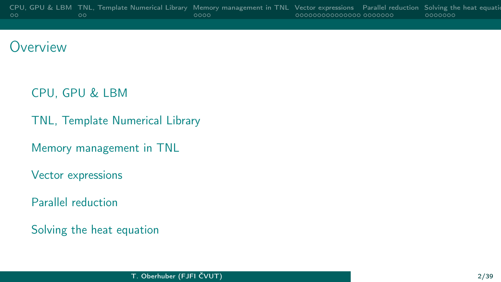## **Overview**

[CPU, GPU & LBM](#page-2-0)

[TNL, Template Numerical Library](#page-4-0)

[Memory management in TNL](#page-6-0)

[Vector expressions](#page-10-0)

[Parallel reduction](#page-25-0)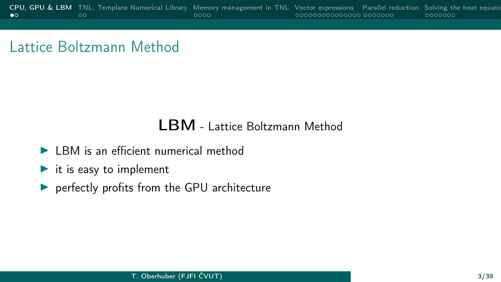## <span id="page-2-0"></span>Lattice Boltzmann Method

#### LBM - Lattice Boltzmann Method

- $\blacktriangleright$  LBM is an efficient numerical method
- $\blacktriangleright$  it is easy to implement
- $\blacktriangleright$  perfectly profits from the GPU architecture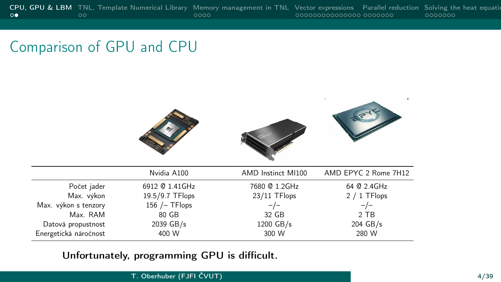## Comparison of GPU and CPU

|                       | Nvidia A100      | AMD Instinct MI100 | AMD EPYC 2 Rome 7H12 |
|-----------------------|------------------|--------------------|----------------------|
| Počet jader           | 6912 @ 1.41GHz   | 7680 @ 1.2GHz      | 64 @ 2.4GHz          |
| Max. výkon            | 19.5/9.7 TFlops  | 23/11 TFlops       | 2 / 1 TFlops         |
| Max. výkon s tenzory  | 156 $/$ - TFlops | $-/-$              | $-/-$                |
| Max. RAM              | 80 GB            | 32 GB              | 2 TB                 |
| Datová propustnost    | 2039 GB/s        | 1200 GB/s          | 204 GB/s             |
| Energetická náročnost | 400 W            | 300 W              | 280 W                |

#### Unfortunately, programming GPU is difficult.

#### T. Oberhuber (FJFI ČVUT) 4/39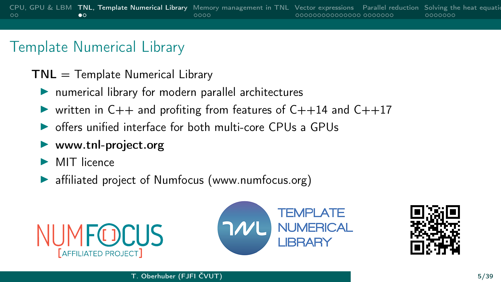## <span id="page-4-0"></span>Template Numerical Library

- $TNL =$  Template Numerical Library
	- $\blacktriangleright$  numerical library for modern parallel architectures
	- In written in  $C++$  and profiting from features of  $C++14$  and  $C++17$
	- $\triangleright$  offers unified interface for both multi-core CPUs a GPUs
	- $\blacktriangleright$  www.tnl-project.org
	- $\blacktriangleright$  MIT licence
	- affiliated project of Numfocus (www.numfocus.org)





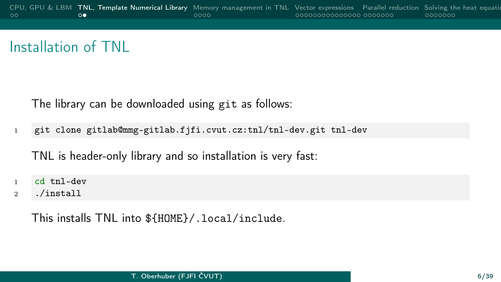## Installation of TNL

The library can be downloaded using git as follows:

<sup>1</sup> git clone gitlab@mmg-gitlab.fjfi.cvut.cz:tnl/tnl-dev.git tnl-dev

TNL is header-only library and so installation is very fast:

- <sup>1</sup> cd tnl-dev
- <sup>2</sup> ./install

This installs TNL into \${HOME}/.local/include.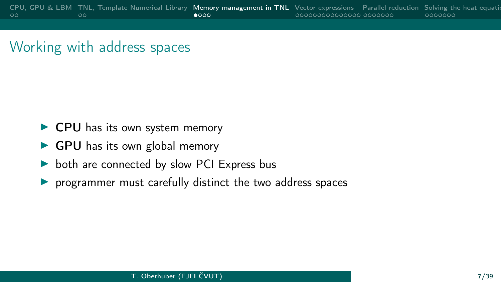## <span id="page-6-0"></span>Working with address spaces

- $\blacktriangleright$  CPU has its own system memory
- $\triangleright$  GPU has its own global memory
- $\triangleright$  both are connected by slow PCI Express bus
- $\triangleright$  programmer must carefully distinct the two address spaces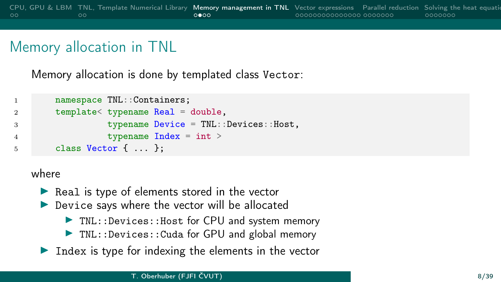## Memory allocation in TNL

Memory allocation is done by templated class Vector:

```
1 namespace TNL:: Containers;
2 template< typename Real = double,
3 typename Device = TNL::Devices::Host,
4 typename Index = int >
5 class Vector { ... };
```
#### where

- $\blacktriangleright$  Real is type of elements stored in the vector
- $\blacktriangleright$  Device says where the vector will be allocated
	- $\blacktriangleright$  TNL:: Devices:: Host for CPU and system memory
	- $\triangleright$  TNL::Devices::Cuda for GPU and global memory
- Index is type for indexing the elements in the vector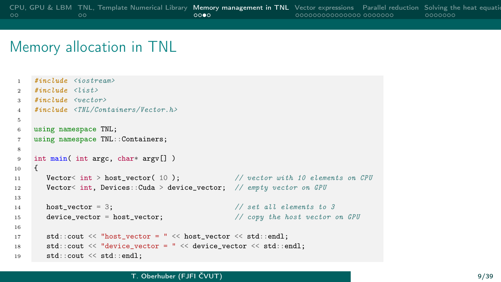### Memory allocation in TNL

```
1 #include <iostream>
2 \frac{\#i}{\#i} \frac{1}{\#i} \frac{d}{d} \frac{d}{d} \frac{d}{d}3 \#include \langleyector)
4 #include <TNL/Containers/Vector.h>
5
6 using namespace TNL;
7 using namespace TNL::Containers;
8
9 int main( int argc, char* argv[] )<br>
\begin{bmatrix} 0 & 1 \end{bmatrix}10 {
11 Vector < int > host vector( 10 ); // vector with 10 elements on CPU
12 Vector< int. Devices::Cuda > device vector: // empty vector on GPU
13
14 host vector = 3; \frac{1}{2} host vector = 3; \frac{1}{2} host vector = 3;
15 device vector = host vector; \frac{15}{20} // copy the host vector on GPU
16
17 std::cout << "host_vector = " << host_vector << std::endl;
18 std::cout << "device vector = " << device vector << std::endl;
19 std::cout << std::endl;
```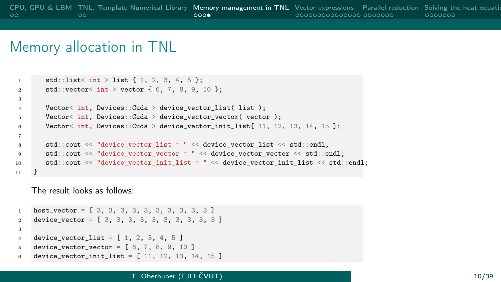#### Memory allocation in TNL

```
1 std::list< int > list { 1, 2, 3, 4, 5 };
2 std::vector< int > vector { 6, 7, 8, 9, 10 };
3
4 Vector< int. Devices::Cuda > device vector list( list );
5 Vector< int, Devices::Cuda > device_vector_vector( vector );
6 Vector< int, Devices::Cuda > device vector init list{ 11, 12, 13, 14, 15 };
7
8 std::cout \leq "device vector list = " \leq device vector list \leq std::endl;
9 std::cout << "device_vector_vector = " << device_vector_vector << std::endl;
10 std::cout << "device vector init list = " << device vector init list << std::endl;
11 }
```
The result looks as follows:

```
1 host vector = [ 3, 3, 3, 3, 3, 3, 3, 3, 3, 3]2 device vector = [ 3, 3, 3, 3, 3, 3, 3, 3, 3, 3]3
4 device_vector_list = [ 1, 2, 3, 4, 5 ]
5 device_vector_vector = [ 6, 7, 8, 9, 10 ]
6 device vector init list = [ 11, 12, 13, 14, 15 ]
```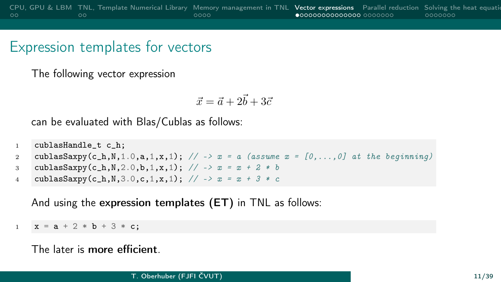## <span id="page-10-0"></span>Expression templates for vectors

The following vector expression

$$
\vec{x}=\vec{a}+2\vec{b}+3\vec{c}
$$

can be evaluated with Blas/Cublas as follows:

```
1 cublasHandle t c h:
2 cublasSaxpy(c_h,N,1.0,a,1,x,1); // \rightarrow x = a (assume x = [0, \ldots, 0] at the beginning)
3 cublasSaxpy(c_h,N,2.0,b,1,x,1); // -> x = x + 2 * b4 cublasSaxpy(c_h,N,3.0,c,1,x,1); // -> x = x + 3 * c
```
And using the expression templates (ET) in TNL as follows:

 $x = a + 2 * b + 3 * c$ ;

The later is more efficient.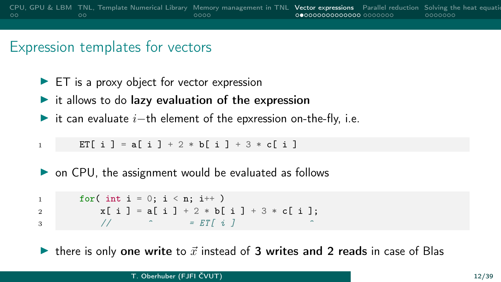## Expression templates for vectors

- $\blacktriangleright$  ET is a proxy object for vector expression
- $\blacktriangleright$  it allows to do lazy evaluation of the expression
- $\triangleright$  it can evaluate  $i$ −th element of the epxression on-the-fly, i.e.

```
1 ET[i] = a[i] + 2 * b[i] + 3 * c[i]
```
 $\triangleright$  on CPU, the assignment would be evaluated as follows

1 for( int i = 0; i < n; i++ ) 2  $x[i] = a[i] + 2 * b[i] + 3 * c[i];$  $\overline{3}$  //  $\overline{2}$  = ET[ i ]

In there is only one write to  $\vec{x}$  instead of 3 writes and 2 reads in case of Blas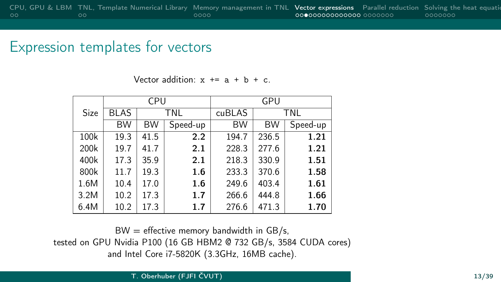#### Expression templates for vectors

Vector addition:  $x == a + b + c$ .

|      |             | CPU       |            | GPU       |           |          |  |
|------|-------------|-----------|------------|-----------|-----------|----------|--|
| Size | <b>BLAS</b> |           | <b>TNL</b> | cuBLAS    |           | TNL      |  |
|      | <b>BW</b>   | <b>BW</b> | Speed-up   | <b>BW</b> | <b>BW</b> | Speed-up |  |
| 100k | 19.3        | 41.5      | 2.2        | 194.7     | 236.5     | 1.21     |  |
| 200k | 19.7        | 41.7      | 2.1        | 228.3     | 277.6     | 1.21     |  |
| 400k | 17.3        | 35.9      | 2.1        | 218.3     | 330.9     | 1.51     |  |
| 800k | 11.7        | 19.3      | 1.6        | 233.3     | 370.6     | 1.58     |  |
| 1.6M | 10.4        | 17.0      | 1.6        | 249.6     | 403.4     | 1.61     |  |
| 3.2M | 10.2        | 17.3      | 1.7        | 266.6     | 444.8     | 1.66     |  |
| 6.4M | 10.2        | 17.3      | 1.7        | 276.6     | 471.3     | 1.70     |  |

 $BW =$  effective memory bandwidth in GB/s, tested on GPU Nvidia P100 (16 GB HBM2 @ 732 GB/s, 3584 CUDA cores) and Intel Core i7-5820K (3.3GHz, 16MB cache).

T. Oberhuber (FJFI ČVUT) 13/39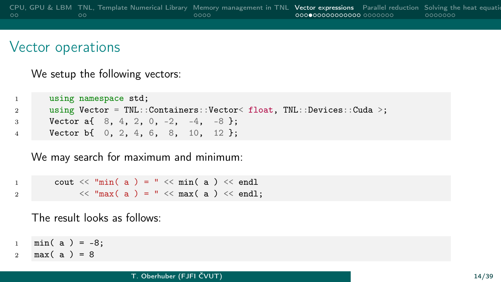We setup the following vectors:

```
1 using namespace std;
2 using Vector = TNL::Containers::Vector< float, TNL::Devices::Cuda >;
3 Vector a{ 8, 4, 2, 0, -2, -4, -8 };
4 Vector b{ 0, 2, 4, 6, 8, 10, 12 };
```
We may search for maximum and minimum:

```
1 cout \langle\langle \text{ "min( a ) = " } \langle \langle \text{ min( a )} \rangle \rangle2 \langle\langle \text{ }^{\mathsf{m}}\text{max}(\text{ a }) = \text{ }^{\mathsf{m}}\langle\langle \text{ }^{\mathsf{m}}\text{max}(\text{ a }) \rangle \langle\langle \text{ }^{\mathsf{m}}\text{endl};
```
The result looks as follows:

 $1 \text{ min}(\text{ a}) = -8;$ 

2 max $(a) = 8$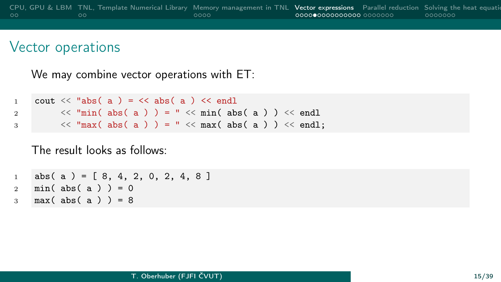We may combine vector operations with ET:

```
1 cout \langle\langle "abs( a ) = \langle\langle abs( a ) \langle endl
2 \langle\langle \text{min}(abs(a))\rangle = \text{max}(abs(a)) \times \text{end}3 \langle\langle \text{max}(abs(a))\rangle = \text{max}(abs(a)) \rangle \langle\langle \text{end} \rangle
```
The result looks as follows:

1 abs(a) =  $[8, 4, 2, 0, 2, 4, 8]$ 2 min(abs(a)  $) = 0$  $3 \text{ max}$  (abs (a)  $) = 8$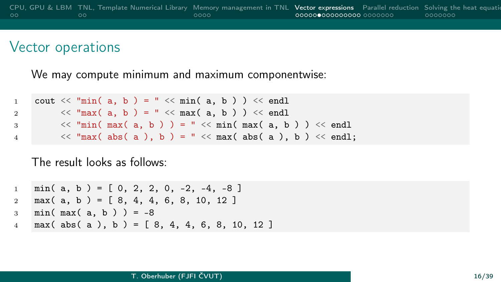We may compute minimum and maximum componentwise:

```
1 cout \langle\langle "min( a, b ) = " \langle\langle min( a, b ) \rangle \langle\langle endl
2 \langle\langle \text{max}(a, b)\rangle = \text{max}(a, b)\rangle \langle\langle \text{end} \rangle3 \langle\langle \text{min}(\text{max}(a, b)) \rangle = \text{max}(\text{min}(\text{max}(a, b)) \rangle \langle\langle \text{end} \rangle)4 \langle \langle "max( abs( a ), b ) = " \langle max( abs( a ), b \rangle \langle endl;
```
The result looks as follows:

```
1 \text{ min}(\ a, \ b) = [0, 2, 2, 0, -2, -4, -8]2 \text{ max} (a, b) = [8, 4, 4, 6, 8, 10, 12]
3 \text{ min}(\text{max}(\text{a}, \text{b})) = -8\frac{4}{4} max( abs( a ), b ) = [ 8, 4, 4, 6, 8, 10, 12 ]
```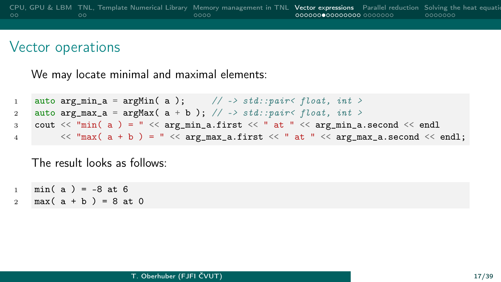We may locate minimal and maximal elements:

```
1 auto arg_min_a = argMin(a); // -> std::pair< float, int >
2 auto \argmax_a = \argmax(a + b); // -> std::pair< float, int >
3 cout \lt\lt "min( a ) = " \lt\lt arg_min_a.first \lt\lt " at " \lt\lt arg_min_a.second \lt\lt endl
4 \langle \langle \rangle = \langle \rangle \langle \rangle = \langle \langle \rangle arg_max_a.first \langle \langle \rangle at \langle \rangle \langle arg_max_a.second \langle \rangle endl;
```
The result looks as follows:

- $1 \text{ min}(\text{a}) = -8 \text{ at } 6$
- 2  $max(a + b) = 8$  at 0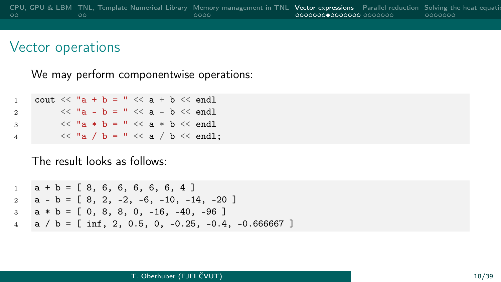We may perform componentwise operations:

| $\mathbf{1}$   | cout $<<$ "a + b = " $<<$ a + b $<<$ endl |  |  |  |  |  |                                       |
|----------------|-------------------------------------------|--|--|--|--|--|---------------------------------------|
| $\overline{2}$ |                                           |  |  |  |  |  | $<<$ "a - b = " $<<$ a - b $<<$ endl  |
| 3              |                                           |  |  |  |  |  | $<<$ "a * b = " $<<$ a * b $<<$ endl  |
| 4              |                                           |  |  |  |  |  | $<<$ "a / b = " $<<$ a / b $<<$ endl; |

#### The result looks as follows:

 $1 \quad a + b = [8, 6, 6, 6, 6, 6, 4]$  $2 \text{ a } - \text{ b } = [8, 2, -2, -6, -10, -14, -20]$  $3 \text{ a * b} = [0, 8, 8, 0, -16, -40, -96]$  $4 \text{ a } / \text{ b } = [ \text{ inf}, 2, 0.5, 0, -0.25, -0.4, -0.666667 ]$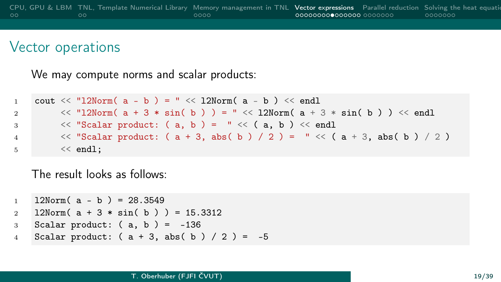We may compute norms and scalar products:

```
1 cout \langle \langle "12Norm( a - b ) = "\langle \langle 12Norm( a - b ) \langle \langle endl
2 \langle \langle "l2Norm( a + 3 * sin( b ) \rangle = " \langle \langle 12Norm( a + 3 * sin( b ) \rangle \langle \langle endl
3 \langle\langle "Scalar product: (a, b) = " \langle\langle (a, b) \rangle \langle endl
4 \langle 'Scalar product: (a + 3, abs(b) / 2) = " \langle (a + 3, abs(b) / 2) \rangle5 \leq \text{endl}:
```
The result looks as follows:

```
1 12Norm(a - b) = 28.35492 12Norm(a + 3 * sin(b)) = 15.3312
3 Scalar product: (a, b) = -1364 Scalar product: (a + 3, abs(b) / 2) = -5
```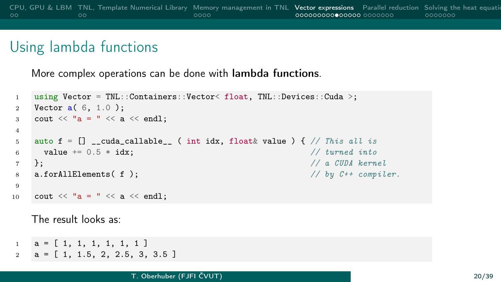## Using lambda functions

More complex operations can be done with lambda functions.

```
1 using Vector = TNL::Containers::Vector< float, TNL::Devices::Cuda >;
2 Vector a( 6, 1.0 );
3 cout \langle\langle "a = " \langle\langle a \langle endl:
4
5 auto f = [] __cuda_callable__ ( int idx, float& value ) { // This all is
6 value \pm = 0.5 * idx; \frac{d}{dx} // turned into
7 }; // a CUDA kernel
8 a.forAllElements(f); \frac{dy}{dx} // by C++ compiler.
9
10 cout << "a = " << a << endl;
```
The result looks as:

```
1 \quad a = [1, 1, 1, 1, 1, 1, 1]2 \text{ a} = [1, 1.5, 2, 2.5, 3, 3.5]
```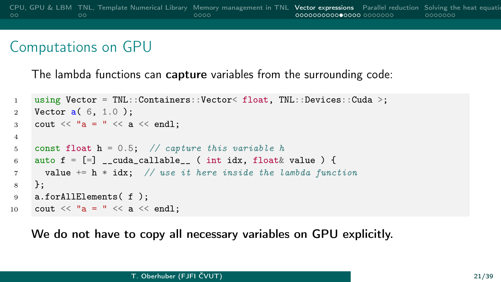### Computations on GPU

The lambda functions can capture variables from the surrounding code:

```
1 using Vector = TNL::Containers::Vector< float, TNL::Devices::Cuda >;
2 Vector a( 6, 1.0 );
3 cout \langle\langle "a = "\langle\langle a \langle endl;
4
5 const float h = 0.5; // capture this variable h
6 auto f = [-] __cuda_callable__ ( int idx, float& value ) {
7 value += h * idx; // use it here inside the lambda function
8 };
9 a.forAllElements( f );
10 cout \langle\langle "a = " \langle\langle a \langle endl;
```
We do not have to copy all necessary variables on GPU explicitly.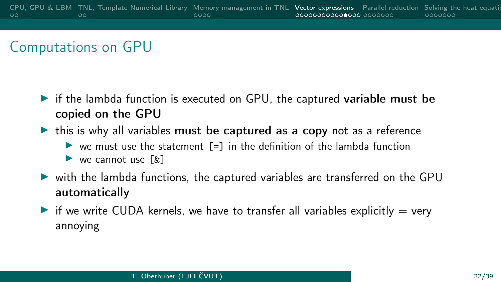## Computations on GPU

- $\triangleright$  if the lambda function is executed on GPU, the captured variable must be copied on the GPU
- $\triangleright$  this is why all variables must be captured as a copy not as a reference
	- $\triangleright$  we must use the statement  $\lceil \frac{1}{2} \rceil$  in the definition of the lambda function
	- $\blacktriangleright$  we cannot use  $\lceil k \rceil$
- $\triangleright$  with the lambda functions, the captured variables are transferred on the GPU automatically
- If we write CUDA kernels, we have to transfer all variables explicitly  $=$  very annoying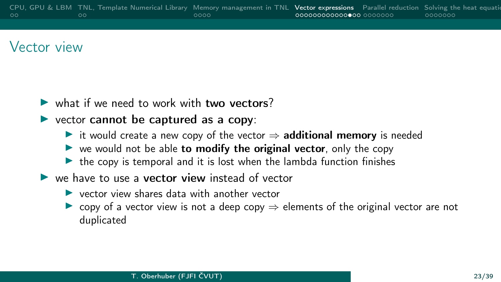## Vector view

- $\triangleright$  what if we need to work with two vectors?
- $\triangleright$  vector cannot be captured as a copy:
	- $\triangleright$  it would create a new copy of the vector  $\Rightarrow$  additional memory is needed
	- $\triangleright$  we would not be able to modify the original vector, only the copy
	- $\triangleright$  the copy is temporal and it is lost when the lambda function finishes
- $\blacktriangleright$  we have to use a **vector view** instead of vector
	- $\blacktriangleright$  vector view shares data with another vector
	- copy of a vector view is not a deep copy  $\Rightarrow$  elements of the original vector are not duplicated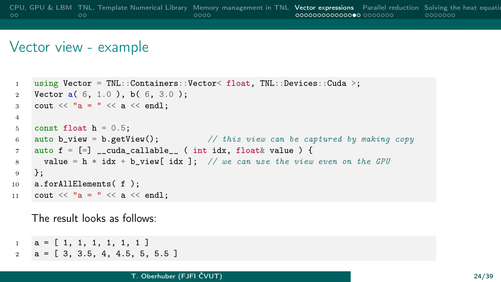#### Vector view - example

```
1 using Vector = TNL::Containers::Vector< float, TNL::Devices::Cuda >;
 2 Vector a( 6, 1.0 ), b( 6, 3.0 );
 3 cout \langle\langle "a = " \langle\langle a \langle endl:
4
 5 const float h = 0.5;
 6 auto b_view = b.getView(); \frac{1}{1 + k} this view can be captured by making copy
 7 auto f = [-] __cuda_callable__ ( int idx, float& value ) {
 8 value = h * idx + bview[ idx ]; // we can use the view even on the GPU
 9 };
10 a.forAllElements( f );
11 cout \langle\langle \ \ \n^{\mathsf{u}}\mathsf{a} \ \ = \ \n^{\mathsf{u}} \ \ \langle\langle \ \ \mathsf{a} \ \ \langle\langle \ \ \text{end} \ \rangle
```
The result looks as follows:

```
1 \quad a = [ 1, 1, 1, 1, 1, 1, 1]2 \text{ a } = [3, 3.5, 4, 4.5, 5, 5.5]
```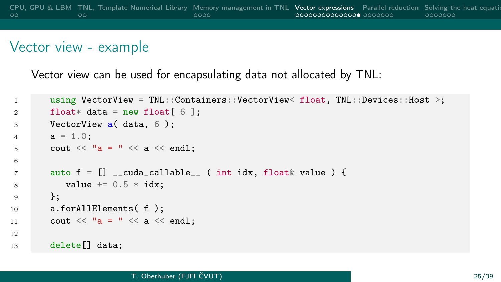#### Vector view - example

Vector view can be used for encapsulating data not allocated by TNL:

```
1 using VectorView = TNL::Containers::VectorView< float, TNL::Devices::Host >;
2 float* data = new float[6];
3 VectorView a( data, 6 );
4 a = 1.0;
5 cout << "a = " << a << endl;
6
7 \quad \text{auto } f = [] __cuda_callable__ ( int idx, float & value ) {
8 value += 0.5 * idx:
9 };
10 a.forAllElements(f);
11 cout \langle\langle "a = "\langle\langle a \langle endl;
12
13 delete[] data;
```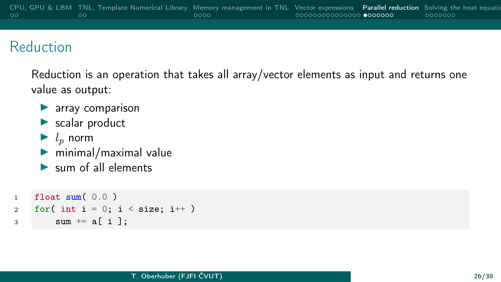## <span id="page-25-0"></span>Reduction

Reduction is an operation that takes all array/vector elements as input and returns one value as output:

- $\blacktriangleright$  array comparison
- $\blacktriangleright$  scalar product
- $\blacktriangleright$  l<sub>p</sub> norm
- $\triangleright$  minimal/maximal value
- $\blacktriangleright$  sum of all elements

```
1 float sum(0.0)
2 for( int i = 0; i < size; i++ )
3 sum += a[i];
```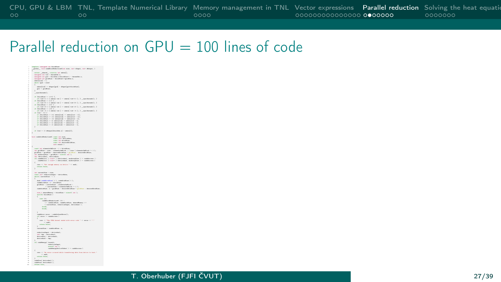## Parallel reduction on  $GPU = 100$  lines of code

|                                                      | - vesigned on kinekins -<br>global , void reddicablementsed(on size, terr disper, terr disper, )                                                                                                                                                 |
|------------------------------------------------------|--------------------------------------------------------------------------------------------------------------------------------------------------------------------------------------------------------------------------------------------------|
|                                                      |                                                                                                                                                                                                                                                  |
|                                                      | enters "shared volentile sex mieta[];<br>uniqued sex tod - viewedide a;                                                                                                                                                                          |
| ×                                                    | uniquel int gid - histórico rebistórico - chronólet.cy                                                                                                                                                                                           |
| ×                                                    | unipat in pútiles - kinklin-lyridin s;                                                                                                                                                                                                           |
|                                                      | steralnich in de                                                                                                                                                                                                                                 |
| ×                                                    | shila (gid - sime)                                                                                                                                                                                                                               |
| $\sim$                                               | $\epsilon$                                                                                                                                                                                                                                       |
| $\sim$<br>$\sim$                                     | state [till] = disper[gid] = disper[gid-binoldine] ;<br>gid = griding                                                                                                                                                                            |
| $\sim$                                               | ×                                                                                                                                                                                                                                                |
| <b>A</b>                                             | _speciarants();                                                                                                                                                                                                                                  |
| a                                                    |                                                                                                                                                                                                                                                  |
| ×<br>$\sim$                                          | of delegation $=1000$ C<br>(d) visiting ( ) ( winnal visit ) -- winnal visiting ( ) ) _ symmetricals () )                                                                                                                                        |
| $\sim$                                               | of delegating in LLD 4.                                                                                                                                                                                                                          |
| $\sim$                                               | (d) visit (2) (2) (2) 22-321 [united (3) (2) [united (3) (2) 23-321 [united St. 2)                                                                                                                                                               |
| ×                                                    | of delectrics $\sim 100$ ( ) $<$ and $>$ and $<$ and $<$ $\ge$ $<$ and $<$ $\ge$ $<$ $\ge$ $<$ $\ge$ $\le$                                                                                                                                       |
| $\sim$<br>$\sim$                                     | of Oderkline in 120 ft                                                                                                                                                                                                                           |
| $\sim$                                               | (4) 418-11 ) { alone[ 114 ] -- alone[ 116-11 ]; } _spankmain(); }                                                                                                                                                                                |
| $\sim$                                               | of $4$ was < 300 $<$                                                                                                                                                                                                                             |
| $\sim$                                               | of Oclasiation >> 40 minut(his) >> minut(his > 30);                                                                                                                                                                                              |
| $\sim$                                               |                                                                                                                                                                                                                                                  |
|                                                      |                                                                                                                                                                                                                                                  |
| $\overline{a}$                                       | of Oclonistics >> O adentically >> adentically > 0)                                                                                                                                                                                              |
| $\sim$                                               | of this<br>circles $\sim$ 1) adata(bid) $\sim$ adata<br>(bid $\sim$ 1)                                                                                                                                                                           |
| $\sim$                                               | ×                                                                                                                                                                                                                                                |
| $\sim$                                               | of (vid = 0) discuss(blacklike.s) = adata(0) ;                                                                                                                                                                                                   |
| <b>B</b>                                             | ×                                                                                                                                                                                                                                                |
| $\sim$                                               |                                                                                                                                                                                                                                                  |
| $\overline{\phantom{a}}$<br>-                        | hash endebridhedomized? contr. Inn sing-                                                                                                                                                                                                         |
| $\sim$                                               | ssan iam devisaben.<br>ssan iam bledding.                                                                                                                                                                                                        |
| $\sim$                                               | cost in desirativities.                                                                                                                                                                                                                          |
| $\sim$                                               | test rends 3                                                                                                                                                                                                                                     |
| $\sim$<br>$\sim$                                     | ×                                                                                                                                                                                                                                                |
| ÷                                                    | source into a<br>formation in $\lambda=1$ , which forms $\lambda$ and<br>measurabilized to $\lambda$ ) the grid<br>finary with $\lambda=1$ and the following $\lambda=1$<br>( $\lambda=1$ ) and the symmetric contribution of<br>$\lambda=1$     |
| $\sim$                                               |                                                                                                                                                                                                                                                  |
| $\sim$<br>٠                                          | ten auskreeplike - gridline - sinasti ist 1;<br>ian nievinakoni, nievinakoni;                                                                                                                                                                    |
| $\sim$                                               | (d) méchélise( ( wider ) identechni, amirraglias ) (= raicherans )                                                                                                                                                                               |
| ٠                                                    | mishiller( ( wider ) identesial), assimplies ) to misheress )                                                                                                                                                                                    |
| $\sim$                                               | ×                                                                                                                                                                                                                                                |
| $\sim$<br>$\sim$                                     | ner to the most nearly in decise." to anti-<br>never falser                                                                                                                                                                                      |
| <b>SE</b>                                            | ×                                                                                                                                                                                                                                                |
| <b>A</b>                                             |                                                                                                                                                                                                                                                  |
| <b>M</b><br>a                                        | ian meruntiliau - sins;<br>must iant reductionlegen - derivalene;                                                                                                                                                                                |
| $\overline{u}$                                       | della (correstitato > 1 )                                                                                                                                                                                                                        |
| $\overline{a}$                                       | $\epsilon$                                                                                                                                                                                                                                       |
| $\overline{u}$                                       | stall or<br>delivering (1), resideration(1);                                                                                                                                                                                                     |
| <b>ALC</b>                                           |                                                                                                                                                                                                                                                  |
| $\overline{\phantom{a}}$                             | $\begin{array}{l} \mbox{m\'oditorialian. } x = \mbox{hincidian} \\ \mbox{gridian} = \mbox{measurable} \quad \mbox{r-dimensionalian} \\ \mbox{r-measurable} \quad \mbox{t-imamentalian} \quad \mbox{t-1} \quad \mbox{t} \end{array} \label{eq:1}$ |
| <b>A</b>                                             | misiridian, a - gridian - desiradicidian - gridi<br>- Aminatividiana                                                                                                                                                                             |
| $\sim$                                               |                                                                                                                                                                                                                                                  |
| <b>A</b>                                             | sings shouldnessy - kindding + sined( im );                                                                                                                                                                                                      |
| ÷.                                                   | with (kindling)                                                                                                                                                                                                                                  |
| $\overline{\phantom{a}}$                             | ass Did                                                                                                                                                                                                                                          |
| $\overline{a}$                                       | mislimidaturizat: 2017                                                                                                                                                                                                                           |
| <b>ALC</b><br>$\sim$                                 |                                                                                                                                                                                                                                                  |
| R                                                    | <b>hrank</b>                                                                                                                                                                                                                                     |
| $\overline{a}$                                       | <b>hrank</b>                                                                                                                                                                                                                                     |
| $\overline{a}$                                       |                                                                                                                                                                                                                                                  |
| $\overline{a}$                                       |                                                                                                                                                                                                                                                  |
| $\sim$<br>×                                          | midlene anno - midatianimo() ;<br>440 arrest to makelerouse 3                                                                                                                                                                                    |
| ×                                                    |                                                                                                                                                                                                                                                  |
| $\sim$                                               | new or the GSA beneficiated with every role for some or full                                                                                                                                                                                     |
| $\sim$                                               | $\sim$ min                                                                                                                                                                                                                                       |
| ×<br><b>Section</b>                                  | <b>Callery Colors</b>                                                                                                                                                                                                                            |
| ×                                                    | nematilize - misiridize, e;                                                                                                                                                                                                                      |
| <b>ALC</b>                                           |                                                                                                                                                                                                                                                  |
| $\overline{\phantom{a}}$                             | naturtimingun - devinaturi;                                                                                                                                                                                                                      |
| $\overline{\phantom{a}}$<br>$\overline{\phantom{a}}$ | ier sp - Aminakel)<br>Aminakel - Aminakel                                                                                                                                                                                                        |
|                                                      | devication2 - now :                                                                                                                                                                                                                              |
| $\sim$                                               |                                                                                                                                                                                                                                                  |
| <b>B</b>                                             | uti mialanggi izunle,                                                                                                                                                                                                                            |
| $\sim$<br>×                                          | raturtimingun,<br>stead (in ).                                                                                                                                                                                                                   |
| <b>Section</b>                                       | midlenepperiodisties ) (contaborase )                                                                                                                                                                                                            |
| <b>Section</b>                                       |                                                                                                                                                                                                                                                  |
| <b>SE</b>                                            | ner << "In error covered shills transfering data from derive to least."                                                                                                                                                                          |
| $\sim$<br>$\sim$                                     | $\sim$ mail:<br>nevers falser                                                                                                                                                                                                                    |
| ×                                                    |                                                                                                                                                                                                                                                  |
| $\sim$                                               | ratalizza ( dericulus) 3<br>ratalizza ( dericulus) 3                                                                                                                                                                                             |
| $\sim$                                               |                                                                                                                                                                                                                                                  |
| $\sim$                                               | <b>Corp. Street</b>                                                                                                                                                                                                                              |
|                                                      |                                                                                                                                                                                                                                                  |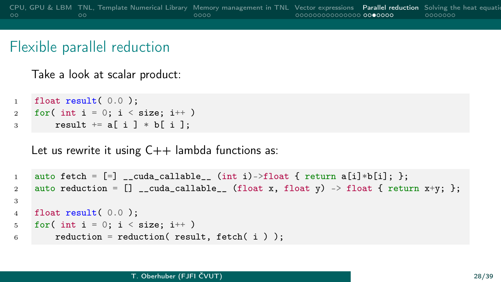Take a look at scalar product:

```
1 float result( 0.0 );
2 for( int i = 0; i < size; i++ )
\frac{1}{3} result \pm a[ i ] \ast b[ i ];
```
Let us rewrite it using  $C++$  lambda functions as:

```
1 auto fetch = [-] __cuda_callable__ (int i)->float { return a[i]*b[i]; };
2 auto reduction = \begin{bmatrix} 1 & -\text{cuda\_callable} \\ 0 & 1 \end{bmatrix} (float x, float y) -> float { return x+y; };
3
4 float result( 0.0 );
5 for( int i = 0; i < size; i++ )
6 reduction = reduction( result, fetch( i ) );
```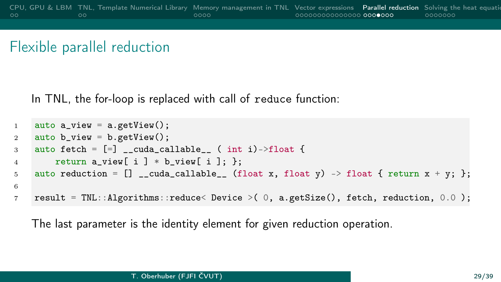In TNL, the for-loop is replaced with call of reduce function:

```
1 auto a\_view = a.getView();
2 auto b_view = b.getView();
3 auto fetch = [=\] _cuda_callable_ ( int i)->float {
4 return a_view[ i ] * b_view[ i ]; };
5 auto reduction = [] __cuda_callable__ (float x, float y) -> float { return x + y; };
6
7 result = TNL::Algorithms::reduce< Device >( 0, a.getSize(), fetch, reduction, 0.0 );
```
The last parameter is the identity element for given reduction operation.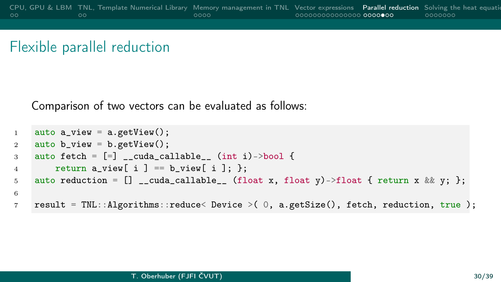Comparison of two vectors can be evaluated as follows:

```
1 auto a_view = a.getView();
2 auto b_view = b.getView();
3 auto fetch = [-] _cuda_callable_ (int i)->bool {
4 return a_view[ i ] == b_view[ i ]; };
5 auto reduction = \begin{bmatrix} 1 & -\text{cuda-callable} \\ 0 & 1 \end{bmatrix} (float x, float y)->float { return x && y; };
6
7 result = TNL::Algorithms::reduce< Device >( 0, a.getSize(), fetch, reduction, true );
```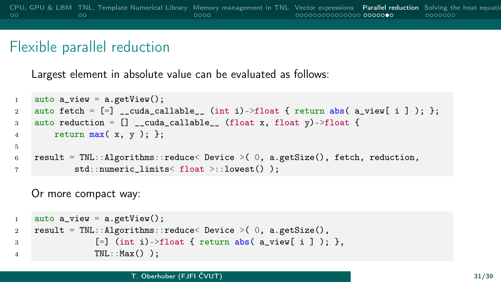Largest element in absolute value can be evaluated as follows:

```
1 auto a view = a.getView();
2 auto fetch = [=\ ] __cuda_callable__ (int i)->float { return abs( a_view[ i ] ); };
3 auto reduction = [] _cuda_callable__ (float x, float y)->float {
4 return max(x, y); \};
5
6 result = TNL::Algorithms::reduce< Device >( 0, a.getSize(), fetch, reduction,
7 std::numeric_limits< float >::lowest() );
```
Or more compact way:

```
1 auto a\_view = a.getView();
2 result = TNL::Algorithms::reduce< Device > (0, a.getSize(),
3 [=\] (int i)->float { return abs( a_view[ i ] ); },
4 TNL::Max() );
```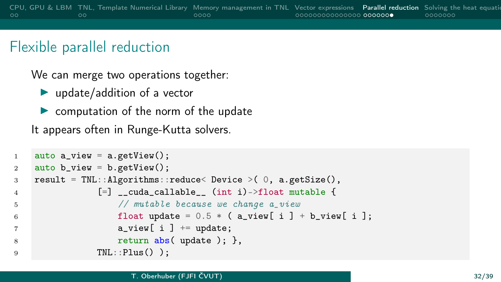We can merge two operations together:

 $\blacktriangleright$  update/addition of a vector

 $\triangleright$  computation of the norm of the update

It appears often in Runge-Kutta solvers.

```
1 auto a_view = a.getView();
2 auto b_view = b.getView();
3 result = TNL::Algorithms::reduce< Device >( 0, a.getSize(),
4 [=] __cuda_callable__ (int i)->float mutable {
5 // mutable because we change a_view
6 float update = 0.5 * (a\_view[i]) + b\_view[i];7 a_view[ i ] += update;
8 return abs( update ); },
9 TNL::Plus() );
```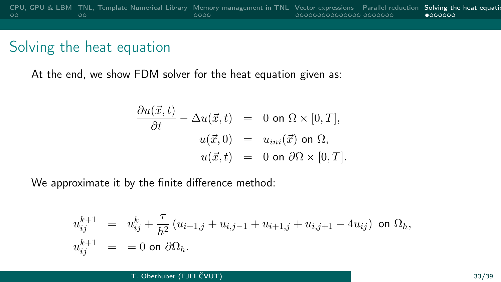<span id="page-32-0"></span>At the end, we show FDM solver for the heat equation given as:

$$
\frac{\partial u(\vec{x},t)}{\partial t} - \Delta u(\vec{x},t) = 0 \text{ on } \Omega \times [0,T],
$$
  

$$
u(\vec{x},0) = u_{ini}(\vec{x}) \text{ on } \Omega,
$$
  

$$
u(\vec{x},t) = 0 \text{ on } \partial\Omega \times [0,T].
$$

We approximate it by the finite difference method:

$$
\begin{array}{rcl} u_{ij}^{k+1} & = & u_{ij}^{k} + \dfrac{\tau}{h^2} \left( u_{i-1,j} + u_{i,j-1} + u_{i+1,j} + u_{i,j+1} - 4 u_{ij} \right) \; \textrm{on} \; \Omega_h, \\ u_{ij}^{k+1} & = & = 0 \; \textrm{on} \; \partial \Omega_h. \end{array}
$$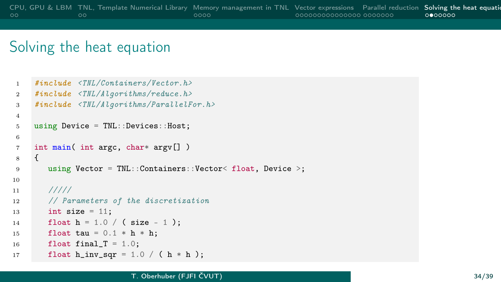```
1 #include <TNL/Containers/Vector.h>
2 #include <TNL/Algorithms/reduce.h>
3 #include <TNL/Algorithms/ParallelFor.h>
4
5 using Device = TNL::Devices::Host;
6
7 int main( int argc, char* argv[] )
8 {
9 using Vector = TNL::Containers::Vector< float, Device >;
10
11 / I/I/I12 // Parameters of the discretization
13 int size = 11;
14 float h = 1.0 / (size - 1);15 float tau = 0.1 * h * h;
16 float final_T = 1.0;
17 float h_inv_sqr = 1.0 / ( h * h );
```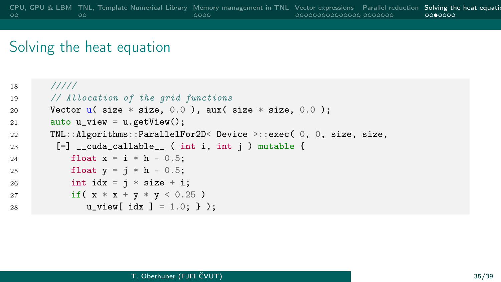```
18 /////
19 // Allocation of the grid functions
20 Vector \mathbf{u}(\text{size} * \text{size}, 0.0), aux(\text{size} * \text{size}, 0.0);
21 auto u_view = u.getView();
22 TNL::Algorithms::ParallelFor2D< Device >::exec( 0, 0, size, size,
23 [=] __cuda_callable__ ( int i, int j ) mutable {
24 float x = i * h - 0.5;
25 float y = j * h - 0.5;
26 int idx = i * size + i;27 if (x * x + y * y < 0.25)28 u view[ idx ] = 1.0; } );
```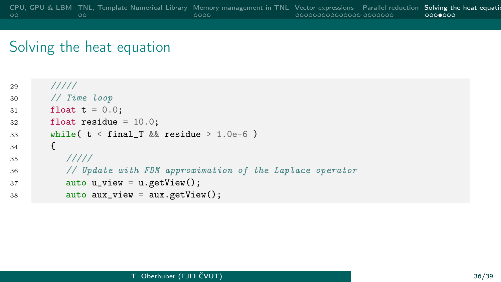```
29 /////
30 // Time loop
31 float t = 0.0;
32 float residue = 10.0;
33 while( t < final_T && residue > 1.0e-6)
34 {
35 /////
36 // Update with FDM approximation of the Laplace operator
37 auto u_view = u.getView();
38 auto aux_view = aux.getView();
```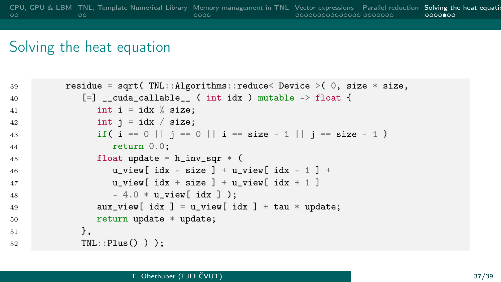```
39 residue = sqrt( TNL::Algorithms::reduce< Device >( 0, size * size,
40 \left[=\right] __cuda_callable_ ( int idx ) mutable -> float {
41 int i = idx % size:
42 int j = idx / size;
43 if ( i == 0 || j == 0 || i == size - 1 || j == size - 1 )
44 return 0.0;
45 float update = h_{\text{inv\_sqr}} * (46 u_view[ idx - size ] + u_view[ idx - 1 ] +
47 u_view[ idx + size ] + u_view[ idx + 1 ]
48 - 4.0 * u view [ idx ] );
49 aux_view[ idx ] = u_view[ idx ] + tau * update;
50 return update * update;
51 },
52 TNL::Plus() ) );
```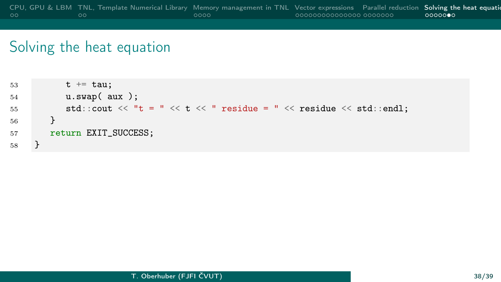```
53 t \neq -t au;
54 u.swap( aux );
55 std::cout << "t = " << t << " residue = " << residue << std::endl;
56 }
57 return EXIT_SUCCESS;
58 }
```